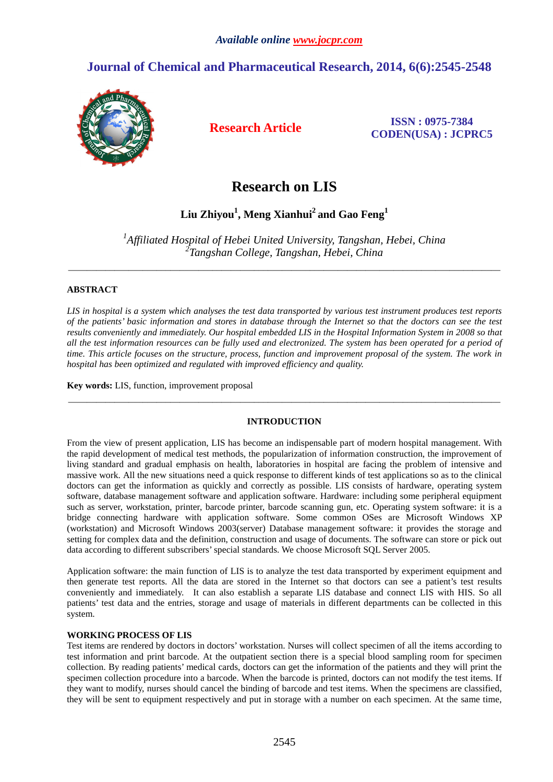# **Journal of Chemical and Pharmaceutical Research, 2014, 6(6):2545-2548**



**Research Article ISSN : 0975-7384 CODEN(USA) : JCPRC5**

# **Research on LIS**

# **Liu Zhiyou<sup>1</sup> , Meng Xianhui<sup>2</sup>and Gao Feng<sup>1</sup>**

*1 Affiliated Hospital of Hebei United University, Tangshan, Hebei, China 2 Tangshan College, Tangshan, Hebei, China* 

\_\_\_\_\_\_\_\_\_\_\_\_\_\_\_\_\_\_\_\_\_\_\_\_\_\_\_\_\_\_\_\_\_\_\_\_\_\_\_\_\_\_\_\_\_\_\_\_\_\_\_\_\_\_\_\_\_\_\_\_\_\_\_\_\_\_\_\_\_\_\_\_\_\_\_\_\_\_\_\_\_\_\_\_\_\_\_\_\_\_\_\_\_

## **ABSTRACT**

*LIS in hospital is a system which analyses the test data transported by various test instrument produces test reports of the patients' basic information and stores in database through the Internet so that the doctors can see the test results conveniently and immediately. Our hospital embedded LIS in the Hospital Information System in 2008 so that all the test information resources can be fully used and electronized. The system has been operated for a period of time. This article focuses on the structure, process, function and improvement proposal of the system. The work in hospital has been optimized and regulated with improved efficiency and quality.* 

**Key words:** LIS, function, improvement proposal

## **INTRODUCTION**

\_\_\_\_\_\_\_\_\_\_\_\_\_\_\_\_\_\_\_\_\_\_\_\_\_\_\_\_\_\_\_\_\_\_\_\_\_\_\_\_\_\_\_\_\_\_\_\_\_\_\_\_\_\_\_\_\_\_\_\_\_\_\_\_\_\_\_\_\_\_\_\_\_\_\_\_\_\_\_\_\_\_\_\_\_\_\_\_\_\_\_\_\_

From the view of present application, LIS has become an indispensable part of modern hospital management. With the rapid development of medical test methods, the popularization of information construction, the improvement of living standard and gradual emphasis on health, laboratories in hospital are facing the problem of intensive and massive work. All the new situations need a quick response to different kinds of test applications so as to the clinical doctors can get the information as quickly and correctly as possible. LIS consists of hardware, operating system software, database management software and application software. Hardware: including some peripheral equipment such as server, workstation, printer, barcode printer, barcode scanning gun, etc. Operating system software: it is a bridge connecting hardware with application software. Some common OSes are Microsoft Windows XP (workstation) and Microsoft Windows 2003(server) Database management software: it provides the storage and setting for complex data and the definition, construction and usage of documents. The software can store or pick out data according to different subscribers' special standards. We choose Microsoft SQL Server 2005.

Application software: the main function of LIS is to analyze the test data transported by experiment equipment and then generate test reports. All the data are stored in the Internet so that doctors can see a patient's test results conveniently and immediately. It can also establish a separate LIS database and connect LIS with HIS. So all patients' test data and the entries, storage and usage of materials in different departments can be collected in this system.

#### **WORKING PROCESS OF LIS**

Test items are rendered by doctors in doctors' workstation. Nurses will collect specimen of all the items according to test information and print barcode. At the outpatient section there is a special blood sampling room for specimen collection. By reading patients' medical cards, doctors can get the information of the patients and they will print the specimen collection procedure into a barcode. When the barcode is printed, doctors can not modify the test items. If they want to modify, nurses should cancel the binding of barcode and test items. When the specimens are classified, they will be sent to equipment respectively and put in storage with a number on each specimen. At the same time,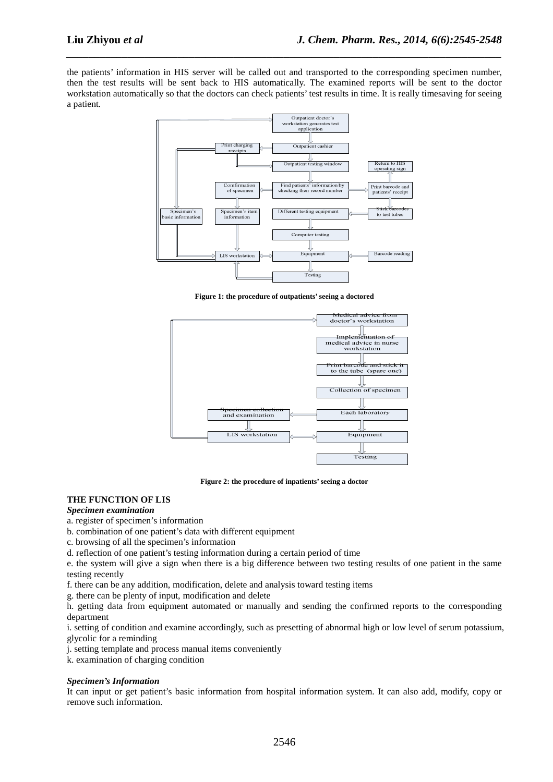the patients' information in HIS server will be called out and transported to the corresponding specimen number, then the test results will be sent back to HIS automatically. The examined reports will be sent to the doctor workstation automatically so that the doctors can check patients' test results in time. It is really timesaving for seeing a patient.

*\_\_\_\_\_\_\_\_\_\_\_\_\_\_\_\_\_\_\_\_\_\_\_\_\_\_\_\_\_\_\_\_\_\_\_\_\_\_\_\_\_\_\_\_\_\_\_\_\_\_\_\_\_\_\_\_\_\_\_\_\_\_\_\_\_\_\_\_\_\_\_\_\_\_\_\_\_\_*



**Figure 1: the procedure of outpatients' seeing a doctored** 



**Figure 2: the procedure of inpatients' seeing a doctor** 

### **THE FUNCTION OF LIS**

#### *Specimen examination*

a. register of specimen's information

b. combination of one patient's data with different equipment

c. browsing of all the specimen's information

d. reflection of one patient's testing information during a certain period of time

e. the system will give a sign when there is a big difference between two testing results of one patient in the same testing recently

f. there can be any addition, modification, delete and analysis toward testing items

g. there can be plenty of input, modification and delete

h. getting data from equipment automated or manually and sending the confirmed reports to the corresponding department

i. setting of condition and examine accordingly, such as presetting of abnormal high or low level of serum potassium, glycolic for a reminding

j. setting template and process manual items conveniently

k. examination of charging condition

#### *Specimen's Information*

It can input or get patient's basic information from hospital information system. It can also add, modify, copy or remove such information.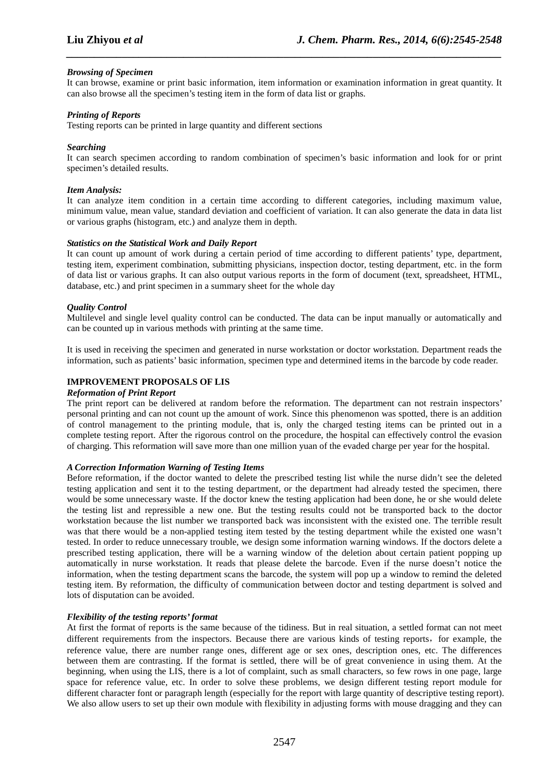#### *Browsing of Specimen*

It can browse, examine or print basic information, item information or examination information in great quantity. It can also browse all the specimen's testing item in the form of data list or graphs.

*\_\_\_\_\_\_\_\_\_\_\_\_\_\_\_\_\_\_\_\_\_\_\_\_\_\_\_\_\_\_\_\_\_\_\_\_\_\_\_\_\_\_\_\_\_\_\_\_\_\_\_\_\_\_\_\_\_\_\_\_\_\_\_\_\_\_\_\_\_\_\_\_\_\_\_\_\_\_*

#### *Printing of Reports*

Testing reports can be printed in large quantity and different sections

#### *Searching*

It can search specimen according to random combination of specimen's basic information and look for or print specimen's detailed results.

#### *Item Analysis:*

It can analyze item condition in a certain time according to different categories, including maximum value, minimum value, mean value, standard deviation and coefficient of variation. It can also generate the data in data list or various graphs (histogram, etc.) and analyze them in depth.

#### *Statistics on the Statistical Work and Daily Report*

It can count up amount of work during a certain period of time according to different patients' type, department, testing item, experiment combination, submitting physicians, inspection doctor, testing department, etc. in the form of data list or various graphs. It can also output various reports in the form of document (text, spreadsheet, HTML, database, etc.) and print specimen in a summary sheet for the whole day

#### *Quality Control*

Multilevel and single level quality control can be conducted. The data can be input manually or automatically and can be counted up in various methods with printing at the same time.

It is used in receiving the specimen and generated in nurse workstation or doctor workstation. Department reads the information, such as patients' basic information, specimen type and determined items in the barcode by code reader.

#### **IMPROVEMENT PROPOSALS OF LIS**

#### *Reformation of Print Report*

The print report can be delivered at random before the reformation. The department can not restrain inspectors' personal printing and can not count up the amount of work. Since this phenomenon was spotted, there is an addition of control management to the printing module, that is, only the charged testing items can be printed out in a complete testing report. After the rigorous control on the procedure, the hospital can effectively control the evasion of charging. This reformation will save more than one million yuan of the evaded charge per year for the hospital.

#### *A Correction Information Warning of Testing Items*

Before reformation, if the doctor wanted to delete the prescribed testing list while the nurse didn't see the deleted testing application and sent it to the testing department, or the department had already tested the specimen, there would be some unnecessary waste. If the doctor knew the testing application had been done, he or she would delete the testing list and repressible a new one. But the testing results could not be transported back to the doctor workstation because the list number we transported back was inconsistent with the existed one. The terrible result was that there would be a non-applied testing item tested by the testing department while the existed one wasn't tested. In order to reduce unnecessary trouble, we design some information warning windows. If the doctors delete a prescribed testing application, there will be a warning window of the deletion about certain patient popping up automatically in nurse workstation. It reads that please delete the barcode. Even if the nurse doesn't notice the information, when the testing department scans the barcode, the system will pop up a window to remind the deleted testing item. By reformation, the difficulty of communication between doctor and testing department is solved and lots of disputation can be avoided.

#### *Flexibility of the testing reports' format*

At first the format of reports is the same because of the tidiness. But in real situation, a settled format can not meet different requirements from the inspectors. Because there are various kinds of testing reports, for example, the reference value, there are number range ones, different age or sex ones, description ones, etc. The differences between them are contrasting. If the format is settled, there will be of great convenience in using them. At the beginning, when using the LIS, there is a lot of complaint, such as small characters, so few rows in one page, large space for reference value, etc. In order to solve these problems, we design different testing report module for different character font or paragraph length (especially for the report with large quantity of descriptive testing report). We also allow users to set up their own module with flexibility in adjusting forms with mouse dragging and they can